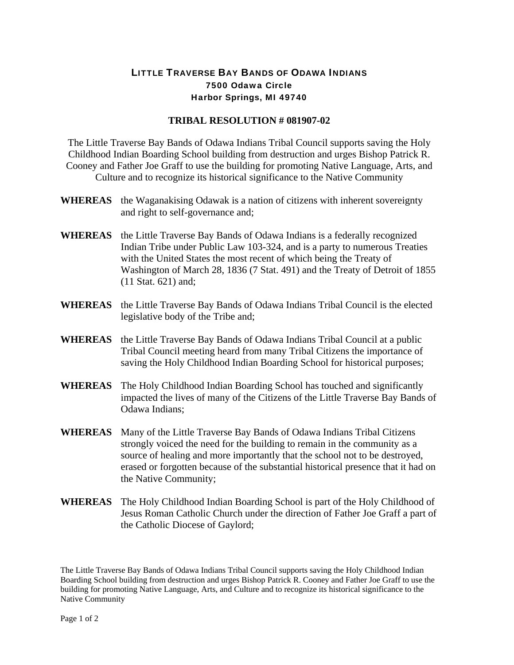## LITTLE TRAVERSE BAY BANDS OF ODAWA INDIANS 7500 Odawa Circle Harbor Springs, MI 49740

## **TRIBAL RESOLUTION # 081907-02**

The Little Traverse Bay Bands of Odawa Indians Tribal Council supports saving the Holy Childhood Indian Boarding School building from destruction and urges Bishop Patrick R. Cooney and Father Joe Graff to use the building for promoting Native Language, Arts, and Culture and to recognize its historical significance to the Native Community

- **WHEREAS** the Waganakising Odawak is a nation of citizens with inherent sovereignty and right to self-governance and;
- **WHEREAS** the Little Traverse Bay Bands of Odawa Indians is a federally recognized Indian Tribe under Public Law 103-324, and is a party to numerous Treaties with the United States the most recent of which being the Treaty of Washington of March 28, 1836 (7 Stat. 491) and the Treaty of Detroit of 1855 (11 Stat. 621) and;
- **WHEREAS** the Little Traverse Bay Bands of Odawa Indians Tribal Council is the elected legislative body of the Tribe and;
- **WHEREAS** the Little Traverse Bay Bands of Odawa Indians Tribal Council at a public Tribal Council meeting heard from many Tribal Citizens the importance of saving the Holy Childhood Indian Boarding School for historical purposes;
- **WHEREAS** The Holy Childhood Indian Boarding School has touched and significantly impacted the lives of many of the Citizens of the Little Traverse Bay Bands of Odawa Indians;
- **WHEREAS** Many of the Little Traverse Bay Bands of Odawa Indians Tribal Citizens strongly voiced the need for the building to remain in the community as a source of healing and more importantly that the school not to be destroyed, erased or forgotten because of the substantial historical presence that it had on the Native Community;
- **WHEREAS** The Holy Childhood Indian Boarding School is part of the Holy Childhood of Jesus Roman Catholic Church under the direction of Father Joe Graff a part of the Catholic Diocese of Gaylord;

The Little Traverse Bay Bands of Odawa Indians Tribal Council supports saving the Holy Childhood Indian Boarding School building from destruction and urges Bishop Patrick R. Cooney and Father Joe Graff to use the building for promoting Native Language, Arts, and Culture and to recognize its historical significance to the Native Community